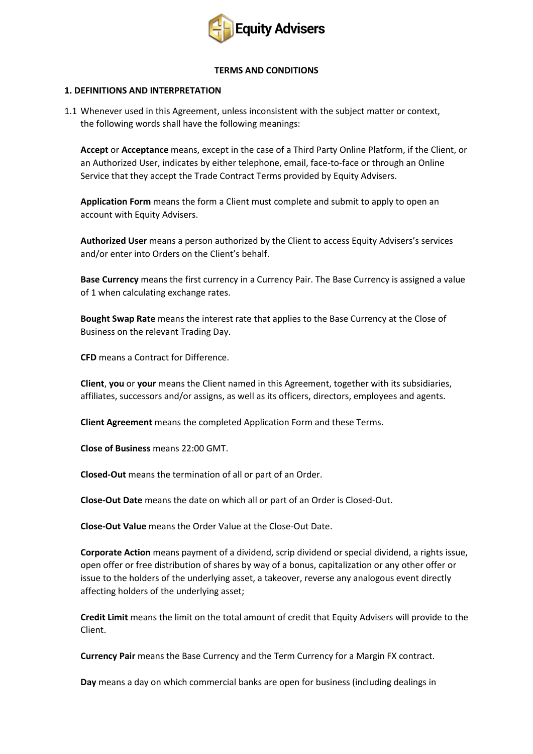

#### **TERMS AND CONDITIONS**

### **1. DEFINITIONS AND INTERPRETATION**

1.1 Whenever used in this Agreement, unless inconsistent with the subject matter or context, the following words shall have the following meanings:

**Accept** or **Acceptance** means, except in the case of a Third Party Online Platform, if the Client, or an Authorized User, indicates by either telephone, email, face-to-face or through an Online Service that they accept the Trade Contract Terms provided by Equity Advisers.

**Application Form** means the form a Client must complete and submit to apply to open an account with Equity Advisers.

**Authorized User** means a person authorized by the Client to access Equity Advisers's services and/or enter into Orders on the Client's behalf.

**Base Currency** means the first currency in a Currency Pair. The Base Currency is assigned a value of 1 when calculating exchange rates.

**Bought Swap Rate** means the interest rate that applies to the Base Currency at the Close of Business on the relevant Trading Day.

**CFD** means a Contract for Difference.

**Client**, **you** or **your** means the Client named in this Agreement, together with its subsidiaries, affiliates, successors and/or assigns, as well as its officers, directors, employees and agents.

**Client Agreement** means the completed Application Form and these Terms.

**Close of Business** means 22:00 GMT.

**Closed-Out** means the termination of all or part of an Order.

**Close-Out Date** means the date on which all or part of an Order is Closed-Out.

**Close-Out Value** means the Order Value at the Close-Out Date.

**Corporate Action** means payment of a dividend, scrip dividend or special dividend, a rights issue, open offer or free distribution of shares by way of a bonus, capitalization or any other offer or issue to the holders of the underlying asset, a takeover, reverse any analogous event directly affecting holders of the underlying asset;

**Credit Limit** means the limit on the total amount of credit that Equity Advisers will provide to the Client.

**Currency Pair** means the Base Currency and the Term Currency for a Margin FX contract.

**Day** means a day on which commercial banks are open for business (including dealings in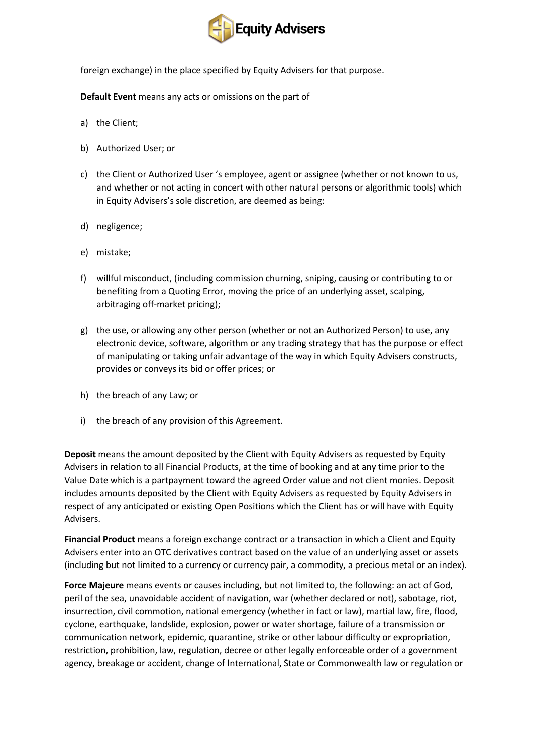

foreign exchange) in the place specified by Equity Advisers for that purpose.

**Default Event** means any acts or omissions on the part of

- a) the Client;
- b) Authorized User; or
- c) the Client or Authorized User 's employee, agent or assignee (whether or not known to us, and whether or not acting in concert with other natural persons or algorithmic tools) which in Equity Advisers's sole discretion, are deemed as being:
- d) negligence;
- e) mistake;
- f) willful misconduct, (including commission churning, sniping, causing or contributing to or benefiting from a Quoting Error, moving the price of an underlying asset, scalping, arbitraging off-market pricing);
- g) the use, or allowing any other person (whether or not an Authorized Person) to use, any electronic device, software, algorithm or any trading strategy that has the purpose or effect of manipulating or taking unfair advantage of the way in which Equity Advisers constructs, provides or conveys its bid or offer prices; or
- h) the breach of any Law; or
- i) the breach of any provision of this Agreement.

**Deposit** means the amount deposited by the Client with Equity Advisers as requested by Equity Advisers in relation to all Financial Products, at the time of booking and at any time prior to the Value Date which is a partpayment toward the agreed Order value and not client monies. Deposit includes amounts deposited by the Client with Equity Advisers as requested by Equity Advisers in respect of any anticipated or existing Open Positions which the Client has or will have with Equity Advisers.

**Financial Product** means a foreign exchange contract or a transaction in which a Client and Equity Advisers enter into an OTC derivatives contract based on the value of an underlying asset or assets (including but not limited to a currency or currency pair, a commodity, a precious metal or an index).

**Force Majeure** means events or causes including, but not limited to, the following: an act of God, peril of the sea, unavoidable accident of navigation, war (whether declared or not), sabotage, riot, insurrection, civil commotion, national emergency (whether in fact or law), martial law, fire, flood, cyclone, earthquake, landslide, explosion, power or water shortage, failure of a transmission or communication network, epidemic, quarantine, strike or other labour difficulty or expropriation, restriction, prohibition, law, regulation, decree or other legally enforceable order of a government agency, breakage or accident, change of International, State or Commonwealth law or regulation or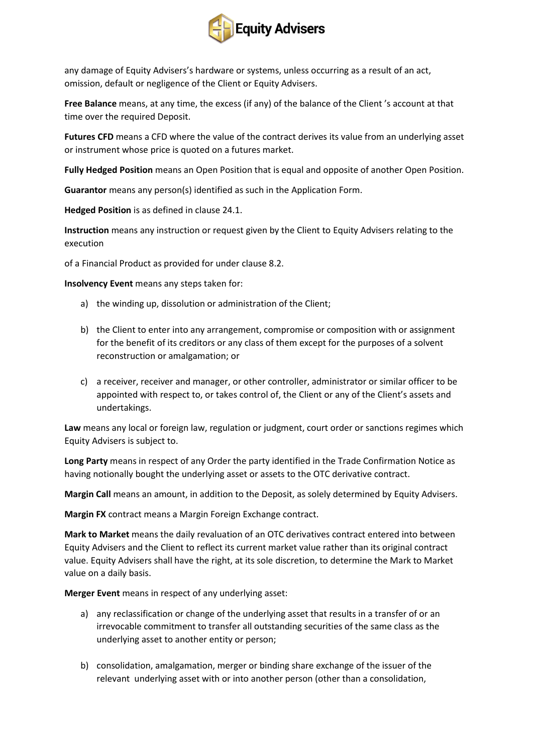

any damage of Equity Advisers's hardware or systems, unless occurring as a result of an act, omission, default or negligence of the Client or Equity Advisers.

**Free Balance** means, at any time, the excess (if any) of the balance of the Client 's account at that time over the required Deposit.

**Futures CFD** means a CFD where the value of the contract derives its value from an underlying asset or instrument whose price is quoted on a futures market.

**Fully Hedged Position** means an Open Position that is equal and opposite of another Open Position.

**Guarantor** means any person(s) identified as such in the Application Form.

**Hedged Position** is as defined in clause 24.1.

**Instruction** means any instruction or request given by the Client to Equity Advisers relating to the execution

of a Financial Product as provided for under clause 8.2.

**Insolvency Event** means any steps taken for:

- a) the winding up, dissolution or administration of the Client;
- b) the Client to enter into any arrangement, compromise or composition with or assignment for the benefit of its creditors or any class of them except for the purposes of a solvent reconstruction or amalgamation; or
- c) a receiver, receiver and manager, or other controller, administrator or similar officer to be appointed with respect to, or takes control of, the Client or any of the Client's assets and undertakings.

**Law** means any local or foreign law, regulation or judgment, court order or sanctions regimes which Equity Advisers is subject to.

**Long Party** means in respect of any Order the party identified in the Trade Confirmation Notice as having notionally bought the underlying asset or assets to the OTC derivative contract.

**Margin Call** means an amount, in addition to the Deposit, as solely determined by Equity Advisers.

**Margin FX** contract means a Margin Foreign Exchange contract.

**Mark to Market** means the daily revaluation of an OTC derivatives contract entered into between Equity Advisers and the Client to reflect its current market value rather than its original contract value. Equity Advisers shall have the right, at its sole discretion, to determine the Mark to Market value on a daily basis.

**Merger Event** means in respect of any underlying asset:

- a) any reclassification or change of the underlying asset that results in a transfer of or an irrevocable commitment to transfer all outstanding securities of the same class as the underlying asset to another entity or person;
- b) consolidation, amalgamation, merger or binding share exchange of the issuer of the relevant underlying asset with or into another person (other than a consolidation,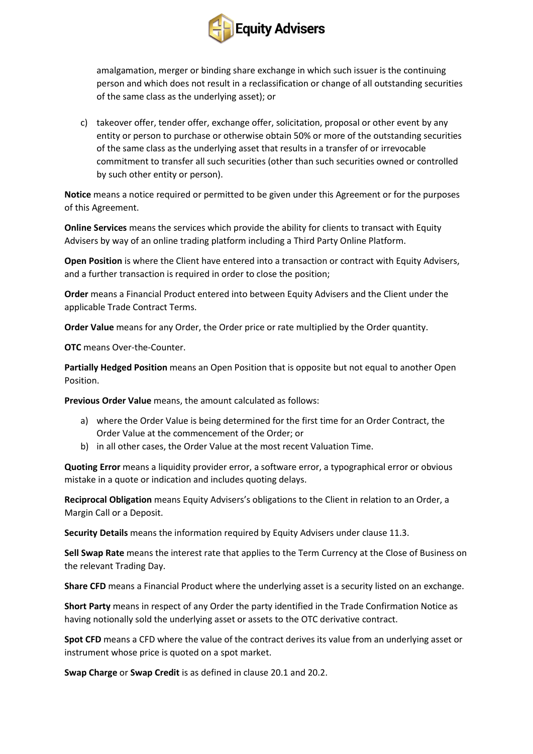

amalgamation, merger or binding share exchange in which such issuer is the continuing person and which does not result in a reclassification or change of all outstanding securities of the same class as the underlying asset); or

c) takeover offer, tender offer, exchange offer, solicitation, proposal or other event by any entity or person to purchase or otherwise obtain 50% or more of the outstanding securities of the same class as the underlying asset that results in a transfer of or irrevocable commitment to transfer all such securities (other than such securities owned or controlled by such other entity or person).

**Notice** means a notice required or permitted to be given under this Agreement or for the purposes of this Agreement.

**Online Services** means the services which provide the ability for clients to transact with Equity Advisers by way of an online trading platform including a Third Party Online Platform.

**Open Position** is where the Client have entered into a transaction or contract with Equity Advisers, and a further transaction is required in order to close the position;

**Order** means a Financial Product entered into between Equity Advisers and the Client under the applicable Trade Contract Terms.

**Order Value** means for any Order, the Order price or rate multiplied by the Order quantity.

**OTC** means Over-the-Counter.

**Partially Hedged Position** means an Open Position that is opposite but not equal to another Open Position.

**Previous Order Value** means, the amount calculated as follows:

- a) where the Order Value is being determined for the first time for an Order Contract, the Order Value at the commencement of the Order; or
- b) in all other cases, the Order Value at the most recent Valuation Time.

**Quoting Error** means a liquidity provider error, a software error, a typographical error or obvious mistake in a quote or indication and includes quoting delays.

**Reciprocal Obligation** means Equity Advisers's obligations to the Client in relation to an Order, a Margin Call or a Deposit.

**Security Details** means the information required by Equity Advisers under clause 11.3.

**Sell Swap Rate** means the interest rate that applies to the Term Currency at the Close of Business on the relevant Trading Day.

**Share CFD** means a Financial Product where the underlying asset is a security listed on an exchange.

**Short Party** means in respect of any Order the party identified in the Trade Confirmation Notice as having notionally sold the underlying asset or assets to the OTC derivative contract.

**Spot CFD** means a CFD where the value of the contract derives its value from an underlying asset or instrument whose price is quoted on a spot market.

**Swap Charge** or **Swap Credit** is as defined in clause 20.1 and 20.2.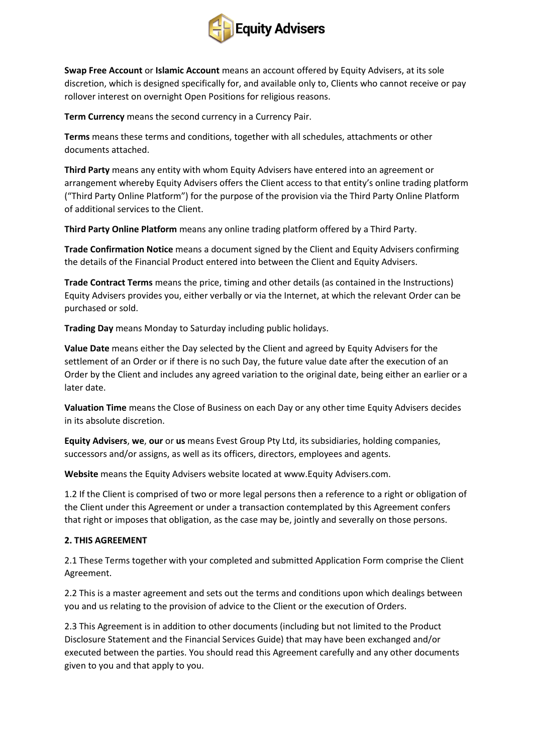

**Swap Free Account** or **Islamic Account** means an account offered by Equity Advisers, at its sole discretion, which is designed specifically for, and available only to, Clients who cannot receive or pay rollover interest on overnight Open Positions for religious reasons.

**Term Currency** means the second currency in a Currency Pair.

**Terms** means these terms and conditions, together with all schedules, attachments or other documents attached.

**Third Party** means any entity with whom Equity Advisers have entered into an agreement or arrangement whereby Equity Advisers offers the Client access to that entity's online trading platform ("Third Party Online Platform") for the purpose of the provision via the Third Party Online Platform of additional services to the Client.

**Third Party Online Platform** means any online trading platform offered by a Third Party.

**Trade Confirmation Notice** means a document signed by the Client and Equity Advisers confirming the details of the Financial Product entered into between the Client and Equity Advisers.

**Trade Contract Terms** means the price, timing and other details (as contained in the Instructions) Equity Advisers provides you, either verbally or via the Internet, at which the relevant Order can be purchased or sold.

**Trading Day** means Monday to Saturday including public holidays.

**Value Date** means either the Day selected by the Client and agreed by Equity Advisers for the settlement of an Order or if there is no such Day, the future value date after the execution of an Order by the Client and includes any agreed variation to the original date, being either an earlier or a later date.

**Valuation Time** means the Close of Business on each Day or any other time Equity Advisers decides in its absolute discretion.

**Equity Advisers**, **we**, **our** or **us** means Evest Group Pty Ltd, its subsidiaries, holding companies, successors and/or assigns, as well as its officers, directors, employees and agents.

**Website** means the Equity Advisers website located at www.Equity Advisers.com.

1.2 If the Client is comprised of two or more legal persons then a reference to a right or obligation of the Client under this Agreement or under a transaction contemplated by this Agreement confers that right or imposes that obligation, as the case may be, jointly and severally on those persons.

### **2. THIS AGREEMENT**

2.1 These Terms together with your completed and submitted Application Form comprise the Client Agreement.

2.2 This is a master agreement and sets out the terms and conditions upon which dealings between you and us relating to the provision of advice to the Client or the execution of Orders.

2.3 This Agreement is in addition to other documents (including but not limited to the Product Disclosure Statement and the Financial Services Guide) that may have been exchanged and/or executed between the parties. You should read this Agreement carefully and any other documents given to you and that apply to you.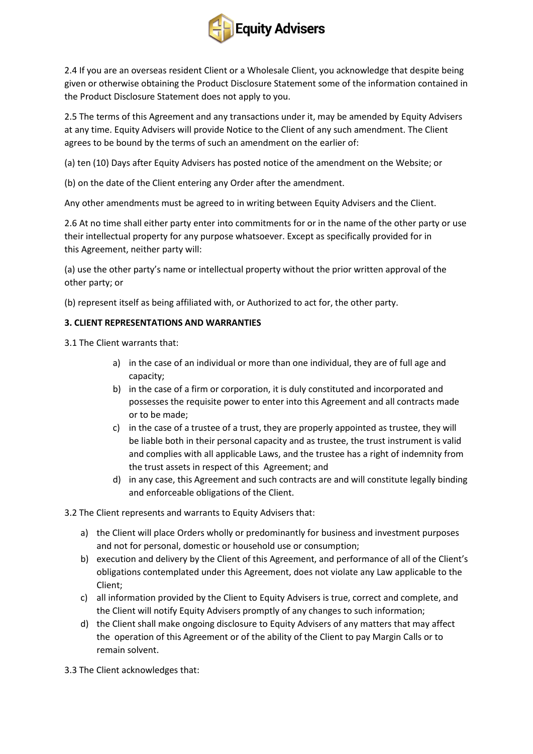

2.4 If you are an overseas resident Client or a Wholesale Client, you acknowledge that despite being given or otherwise obtaining the Product Disclosure Statement some of the information contained in the Product Disclosure Statement does not apply to you.

2.5 The terms of this Agreement and any transactions under it, may be amended by Equity Advisers at any time. Equity Advisers will provide Notice to the Client of any such amendment. The Client agrees to be bound by the terms of such an amendment on the earlier of:

(a) ten (10) Days after Equity Advisers has posted notice of the amendment on the Website; or

(b) on the date of the Client entering any Order after the amendment.

Any other amendments must be agreed to in writing between Equity Advisers and the Client.

2.6 At no time shall either party enter into commitments for or in the name of the other party or use their intellectual property for any purpose whatsoever. Except as specifically provided for in this Agreement, neither party will:

(a) use the other party's name or intellectual property without the prior written approval of the other party; or

(b) represent itself as being affiliated with, or Authorized to act for, the other party.

### **3. CLIENT REPRESENTATIONS AND WARRANTIES**

3.1 The Client warrants that:

- a) in the case of an individual or more than one individual, they are of full age and capacity;
- b) in the case of a firm or corporation, it is duly constituted and incorporated and possesses the requisite power to enter into this Agreement and all contracts made or to be made;
- c) in the case of a trustee of a trust, they are properly appointed as trustee, they will be liable both in their personal capacity and as trustee, the trust instrument is valid and complies with all applicable Laws, and the trustee has a right of indemnity from the trust assets in respect of this Agreement; and
- d) in any case, this Agreement and such contracts are and will constitute legally binding and enforceable obligations of the Client.

3.2 The Client represents and warrants to Equity Advisers that:

- a) the Client will place Orders wholly or predominantly for business and investment purposes and not for personal, domestic or household use or consumption;
- b) execution and delivery by the Client of this Agreement, and performance of all of the Client's obligations contemplated under this Agreement, does not violate any Law applicable to the Client;
- c) all information provided by the Client to Equity Advisers is true, correct and complete, and the Client will notify Equity Advisers promptly of any changes to such information;
- d) the Client shall make ongoing disclosure to Equity Advisers of any matters that may affect the operation of this Agreement or of the ability of the Client to pay Margin Calls or to remain solvent.

3.3 The Client acknowledges that: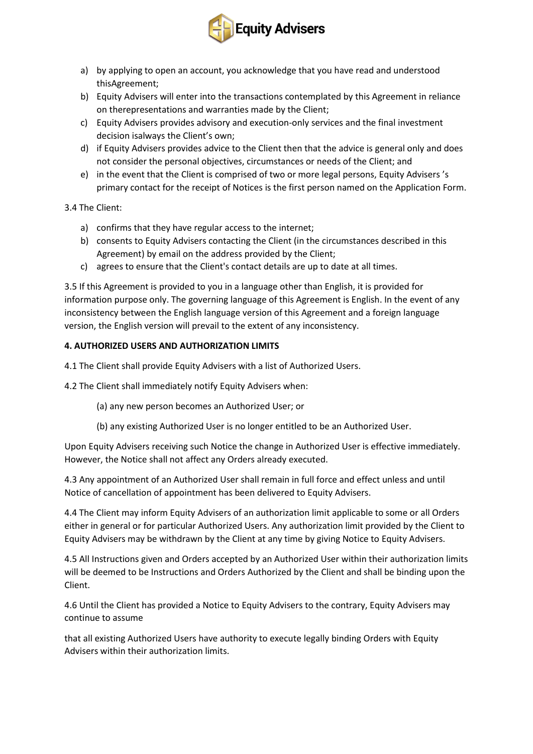

- a) by applying to open an account, you acknowledge that you have read and understood thisAgreement;
- b) Equity Advisers will enter into the transactions contemplated by this Agreement in reliance on therepresentations and warranties made by the Client;
- c) Equity Advisers provides advisory and execution-only services and the final investment decision isalways the Client's own;
- d) if Equity Advisers provides advice to the Client then that the advice is general only and does not consider the personal objectives, circumstances or needs of the Client; and
- e) in the event that the Client is comprised of two or more legal persons, Equity Advisers 's primary contact for the receipt of Notices is the first person named on the Application Form.

3.4 The Client:

- a) confirms that they have regular access to the internet;
- b) consents to Equity Advisers contacting the Client (in the circumstances described in this Agreement) by email on the address provided by the Client;
- c) agrees to ensure that the Client's contact details are up to date at all times.

3.5 If this Agreement is provided to you in a language other than English, it is provided for information purpose only. The governing language of this Agreement is English. In the event of any inconsistency between the English language version of this Agreement and a foreign language version, the English version will prevail to the extent of any inconsistency.

### **4. AUTHORIZED USERS AND AUTHORIZATION LIMITS**

4.1 The Client shall provide Equity Advisers with a list of Authorized Users.

4.2 The Client shall immediately notify Equity Advisers when:

- (a) any new person becomes an Authorized User; or
- (b) any existing Authorized User is no longer entitled to be an Authorized User.

Upon Equity Advisers receiving such Notice the change in Authorized User is effective immediately. However, the Notice shall not affect any Orders already executed.

4.3 Any appointment of an Authorized User shall remain in full force and effect unless and until Notice of cancellation of appointment has been delivered to Equity Advisers.

4.4 The Client may inform Equity Advisers of an authorization limit applicable to some or all Orders either in general or for particular Authorized Users. Any authorization limit provided by the Client to Equity Advisers may be withdrawn by the Client at any time by giving Notice to Equity Advisers.

4.5 All Instructions given and Orders accepted by an Authorized User within their authorization limits will be deemed to be Instructions and Orders Authorized by the Client and shall be binding upon the Client.

4.6 Until the Client has provided a Notice to Equity Advisers to the contrary, Equity Advisers may continue to assume

that all existing Authorized Users have authority to execute legally binding Orders with Equity Advisers within their authorization limits.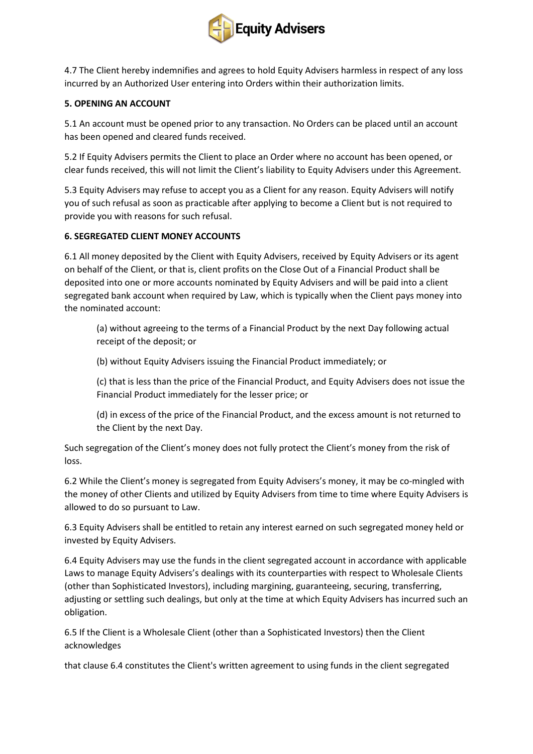

4.7 The Client hereby indemnifies and agrees to hold Equity Advisers harmless in respect of any loss incurred by an Authorized User entering into Orders within their authorization limits.

## **5. OPENING AN ACCOUNT**

5.1 An account must be opened prior to any transaction. No Orders can be placed until an account has been opened and cleared funds received.

5.2 If Equity Advisers permits the Client to place an Order where no account has been opened, or clear funds received, this will not limit the Client's liability to Equity Advisers under this Agreement.

5.3 Equity Advisers may refuse to accept you as a Client for any reason. Equity Advisers will notify you of such refusal as soon as practicable after applying to become a Client but is not required to provide you with reasons for such refusal.

### **6. SEGREGATED CLIENT MONEY ACCOUNTS**

6.1 All money deposited by the Client with Equity Advisers, received by Equity Advisers or its agent on behalf of the Client, or that is, client profits on the Close Out of a Financial Product shall be deposited into one or more accounts nominated by Equity Advisers and will be paid into a client segregated bank account when required by Law, which is typically when the Client pays money into the nominated account:

(a) without agreeing to the terms of a Financial Product by the next Day following actual receipt of the deposit; or

(b) without Equity Advisers issuing the Financial Product immediately; or

(c) that is less than the price of the Financial Product, and Equity Advisers does not issue the Financial Product immediately for the lesser price; or

(d) in excess of the price of the Financial Product, and the excess amount is not returned to the Client by the next Day.

Such segregation of the Client's money does not fully protect the Client's money from the risk of loss.

6.2 While the Client's money is segregated from Equity Advisers's money, it may be co-mingled with the money of other Clients and utilized by Equity Advisers from time to time where Equity Advisers is allowed to do so pursuant to Law.

6.3 Equity Advisers shall be entitled to retain any interest earned on such segregated money held or invested by Equity Advisers.

6.4 Equity Advisers may use the funds in the client segregated account in accordance with applicable Laws to manage Equity Advisers's dealings with its counterparties with respect to Wholesale Clients (other than Sophisticated Investors), including margining, guaranteeing, securing, transferring, adjusting or settling such dealings, but only at the time at which Equity Advisers has incurred such an obligation.

6.5 If the Client is a Wholesale Client (other than a Sophisticated Investors) then the Client acknowledges

that clause 6.4 constitutes the Client's written agreement to using funds in the client segregated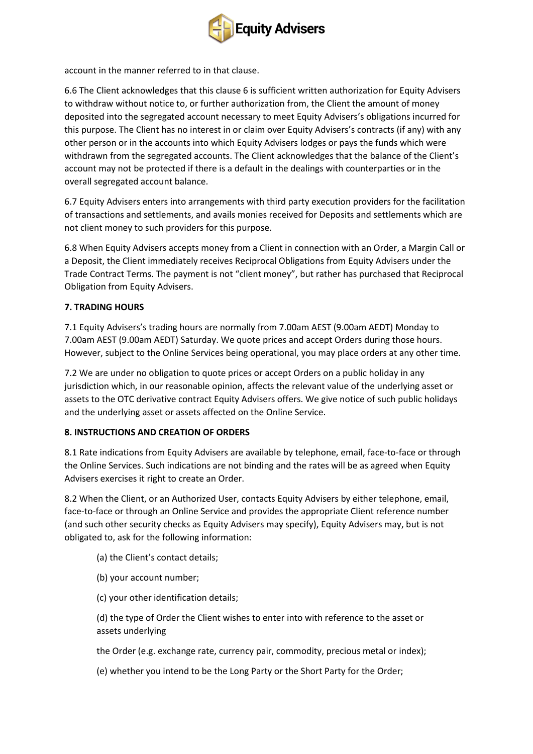

account in the manner referred to in that clause.

6.6 The Client acknowledges that this clause 6 is sufficient written authorization for Equity Advisers to withdraw without notice to, or further authorization from, the Client the amount of money deposited into the segregated account necessary to meet Equity Advisers's obligations incurred for this purpose. The Client has no interest in or claim over Equity Advisers's contracts (if any) with any other person or in the accounts into which Equity Advisers lodges or pays the funds which were withdrawn from the segregated accounts. The Client acknowledges that the balance of the Client's account may not be protected if there is a default in the dealings with counterparties or in the overall segregated account balance.

6.7 Equity Advisers enters into arrangements with third party execution providers for the facilitation of transactions and settlements, and avails monies received for Deposits and settlements which are not client money to such providers for this purpose.

6.8 When Equity Advisers accepts money from a Client in connection with an Order, a Margin Call or a Deposit, the Client immediately receives Reciprocal Obligations from Equity Advisers under the Trade Contract Terms. The payment is not "client money", but rather has purchased that Reciprocal Obligation from Equity Advisers.

# **7. TRADING HOURS**

7.1 Equity Advisers's trading hours are normally from 7.00am AEST (9.00am AEDT) Monday to 7.00am AEST (9.00am AEDT) Saturday. We quote prices and accept Orders during those hours. However, subject to the Online Services being operational, you may place orders at any other time.

7.2 We are under no obligation to quote prices or accept Orders on a public holiday in any jurisdiction which, in our reasonable opinion, affects the relevant value of the underlying asset or assets to the OTC derivative contract Equity Advisers offers. We give notice of such public holidays and the underlying asset or assets affected on the Online Service.

# **8. INSTRUCTIONS AND CREATION OF ORDERS**

8.1 Rate indications from Equity Advisers are available by telephone, email, face-to-face or through the Online Services. Such indications are not binding and the rates will be as agreed when Equity Advisers exercises it right to create an Order.

8.2 When the Client, or an Authorized User, contacts Equity Advisers by either telephone, email, face-to-face or through an Online Service and provides the appropriate Client reference number (and such other security checks as Equity Advisers may specify), Equity Advisers may, but is not obligated to, ask for the following information:

- (a) the Client's contact details;
- (b) your account number;
- (c) your other identification details;

(d) the type of Order the Client wishes to enter into with reference to the asset or assets underlying

the Order (e.g. exchange rate, currency pair, commodity, precious metal or index);

(e) whether you intend to be the Long Party or the Short Party for the Order;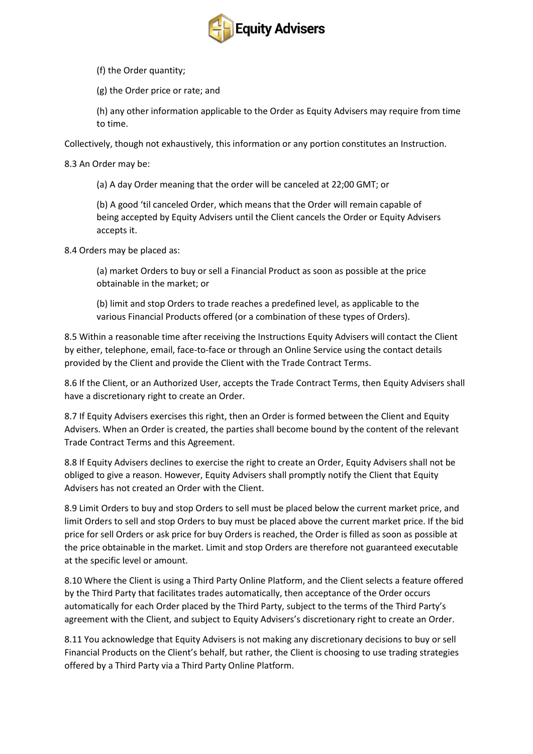

(f) the Order quantity;

(g) the Order price or rate; and

(h) any other information applicable to the Order as Equity Advisers may require from time to time.

Collectively, though not exhaustively, this information or any portion constitutes an Instruction.

8.3 An Order may be:

(a) A day Order meaning that the order will be canceled at 22;00 GMT; or

(b) A good 'til canceled Order, which means that the Order will remain capable of being accepted by Equity Advisers until the Client cancels the Order or Equity Advisers accepts it.

8.4 Orders may be placed as:

(a) market Orders to buy or sell a Financial Product as soon as possible at the price obtainable in the market; or

(b) limit and stop Orders to trade reaches a predefined level, as applicable to the various Financial Products offered (or a combination of these types of Orders).

8.5 Within a reasonable time after receiving the Instructions Equity Advisers will contact the Client by either, telephone, email, face-to-face or through an Online Service using the contact details provided by the Client and provide the Client with the Trade Contract Terms.

8.6 If the Client, or an Authorized User, accepts the Trade Contract Terms, then Equity Advisers shall have a discretionary right to create an Order.

8.7 If Equity Advisers exercises this right, then an Order is formed between the Client and Equity Advisers. When an Order is created, the parties shall become bound by the content of the relevant Trade Contract Terms and this Agreement.

8.8 If Equity Advisers declines to exercise the right to create an Order, Equity Advisers shall not be obliged to give a reason. However, Equity Advisers shall promptly notify the Client that Equity Advisers has not created an Order with the Client.

8.9 Limit Orders to buy and stop Orders to sell must be placed below the current market price, and limit Orders to sell and stop Orders to buy must be placed above the current market price. If the bid price for sell Orders or ask price for buy Orders is reached, the Order is filled as soon as possible at the price obtainable in the market. Limit and stop Orders are therefore not guaranteed executable at the specific level or amount.

8.10 Where the Client is using a Third Party Online Platform, and the Client selects a feature offered by the Third Party that facilitates trades automatically, then acceptance of the Order occurs automatically for each Order placed by the Third Party, subject to the terms of the Third Party's agreement with the Client, and subject to Equity Advisers's discretionary right to create an Order.

8.11 You acknowledge that Equity Advisers is not making any discretionary decisions to buy or sell Financial Products on the Client's behalf, but rather, the Client is choosing to use trading strategies offered by a Third Party via a Third Party Online Platform.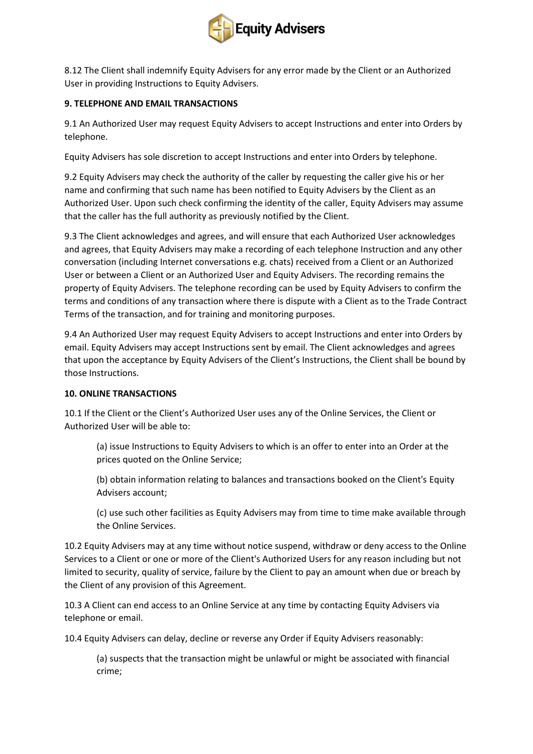

8.12 The Client shall indemnify Equity Advisers for any error made by the Client or an Authorized User in providing Instructions to Equity Advisers.

## **9. TELEPHONE AND EMAIL TRANSACTIONS**

9.1 An Authorized User may request Equity Advisers to accept Instructions and enter into Orders by telephone.

Equity Advisers has sole discretion to accept Instructions and enter into Orders by telephone.

9.2 Equity Advisers may check the authority of the caller by requesting the caller give his or her name and confirming that such name has been notified to Equity Advisers by the Client as an Authorized User. Upon such check confirming the identity of the caller, Equity Advisers may assume that the caller has the full authority as previously notified by the Client.

9.3 The Client acknowledges and agrees, and will ensure that each Authorized User acknowledges and agrees, that Equity Advisers may make a recording of each telephone Instruction and any other conversation (including Internet conversations e.g. chats) received from a Client or an Authorized User or between a Client or an Authorized User and Equity Advisers. The recording remains the property of Equity Advisers. The telephone recording can be used by Equity Advisers to confirm the terms and conditions of any transaction where there is dispute with a Client as to the Trade Contract Terms of the transaction, and for training and monitoring purposes.

9.4 An Authorized User may request Equity Advisers to accept Instructions and enter into Orders by email. Equity Advisers may accept Instructions sent by email. The Client acknowledges and agrees that upon the acceptance by Equity Advisers of the Client's Instructions, the Client shall be bound by those Instructions.

### **10. ONLINE TRANSACTIONS**

10.1 If the Client or the Client's Authorized User uses any of the Online Services, the Client or Authorized User will be able to:

(a) issue Instructions to Equity Advisers to which is an offer to enter into an Order at the prices quoted on the Online Service;

(b) obtain information relating to balances and transactions booked on the Client's Equity Advisers account;

(c) use such other facilities as Equity Advisers may from time to time make available through the Online Services.

10.2 Equity Advisers may at any time without notice suspend, withdraw or deny access to the Online Services to a Client or one or more of the Client's Authorized Users for any reason including but not limited to security, quality of service, failure by the Client to pay an amount when due or breach by the Client of any provision of this Agreement.

10.3 A Client can end access to an Online Service at any time by contacting Equity Advisers via telephone or email.

10.4 Equity Advisers can delay, decline or reverse any Order if Equity Advisers reasonably:

(a) suspects that the transaction might be unlawful or might be associated with financial crime;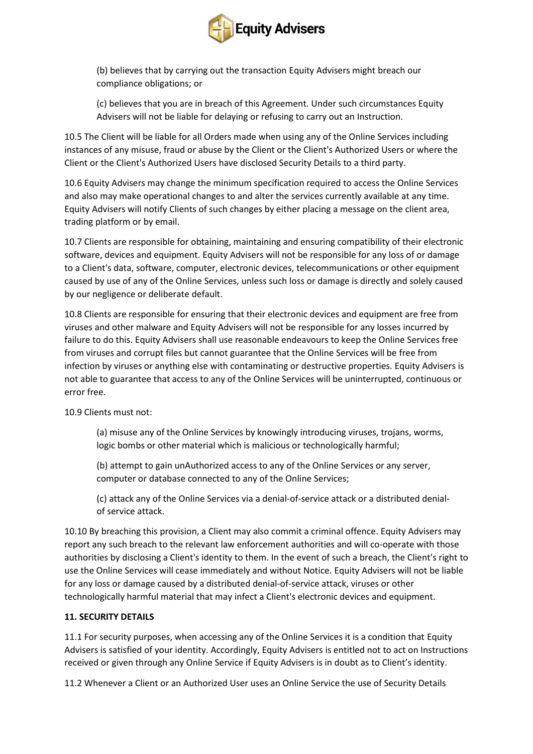

(b) believes that by carrying out the transaction Equity Advisers might breach our compliance obligations; or

(c) believes that you are in breach of this Agreement. Under such circumstances Equity Advisers will not be liable for delaying or refusing to carry out an Instruction.

10.5 The Client will be liable for all Orders made when using any of the Online Services including instances of any misuse, fraud or abuse by the Client or the Client's Authorized Users or where the Client or the Client's Authorized Users have disclosed Security Details to a third party.

10.6 Equity Advisers may change the minimum specification required to access the Online Services and also may make operational changes to and alter the services currently available at any time. Equity Advisers will notify Clients of such changes by either placing a message on the client area, trading platform or by email.

10.7 Clients are responsible for obtaining, maintaining and ensuring compatibility of their electronic software, devices and equipment. Equity Advisers will not be responsible for any loss of or damage to a Client's data, software, computer, electronic devices, telecommunications or other equipment caused by use of any of the Online Services, unless such loss or damage is directly and solely caused by our negligence or deliberate default.

10.8 Clients are responsible for ensuring that their electronic devices and equipment are free from viruses and other malware and Equity Advisers will not be responsible for any losses incurred by failure to do this. Equity Advisers shall use reasonable endeavours to keep the Online Services free from viruses and corrupt files but cannot guarantee that the Online Services will be free from infection by viruses or anything else with contaminating or destructive properties. Equity Advisers is not able to guarantee that access to any of the Online Services will be uninterrupted, continuous or error free.

10.9 Clients must not:

(a) misuse any of the Online Services by knowingly introducing viruses, trojans, worms, logic bombs or other material which is malicious or technologically harmful;

(b) attempt to gain unAuthorized access to any of the Online Services or any server, computer or database connected to any of the Online Services;

(c) attack any of the Online Services via a denial-of-service attack or a distributed denialof service attack.

10.10 By breaching this provision, a Client may also commit a criminal offence. Equity Advisers may report any such breach to the relevant law enforcement authorities and will co-operate with those authorities by disclosing a Client's identity to them. In the event of such a breach, the Client's right to use the Online Services will cease immediately and without Notice. Equity Advisers will not be liable for any loss or damage caused by a distributed denial-of-service attack, viruses or other technologically harmful material that may infect a Client's electronic devices and equipment.

### **11. SECURITY DETAILS**

11.1 For security purposes, when accessing any of the Online Services it is a condition that Equity Advisers is satisfied of your identity. Accordingly, Equity Advisers is entitled not to act on Instructions received or given through any Online Service if Equity Advisers is in doubt as to Client's identity.

11.2 Whenever a Client or an Authorized User uses an Online Service the use of Security Details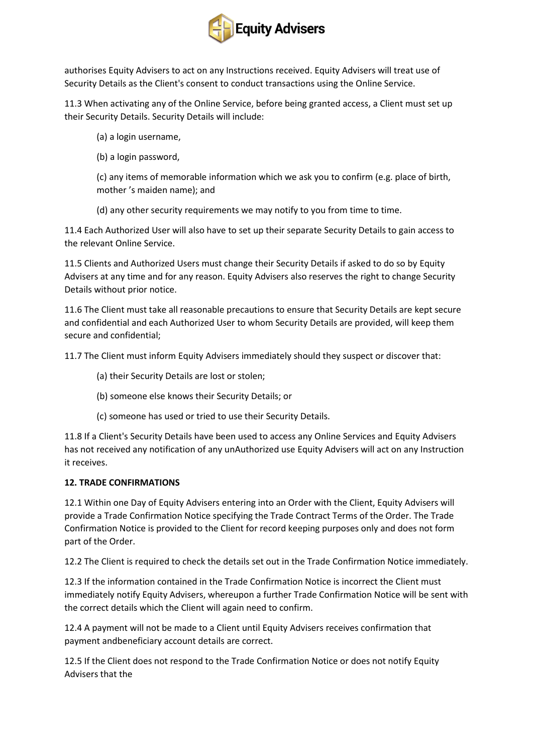

authorises Equity Advisers to act on any Instructions received. Equity Advisers will treat use of Security Details as the Client's consent to conduct transactions using the Online Service.

11.3 When activating any of the Online Service, before being granted access, a Client must set up their Security Details. Security Details will include:

- (a) a login username,
- (b) a login password,

(c) any items of memorable information which we ask you to confirm (e.g. place of birth, mother 's maiden name); and

(d) any other security requirements we may notify to you from time to time.

11.4 Each Authorized User will also have to set up their separate Security Details to gain access to the relevant Online Service.

11.5 Clients and Authorized Users must change their Security Details if asked to do so by Equity Advisers at any time and for any reason. Equity Advisers also reserves the right to change Security Details without prior notice.

11.6 The Client must take all reasonable precautions to ensure that Security Details are kept secure and confidential and each Authorized User to whom Security Details are provided, will keep them secure and confidential;

11.7 The Client must inform Equity Advisers immediately should they suspect or discover that:

- (a) their Security Details are lost or stolen;
- (b) someone else knows their Security Details; or
- (c) someone has used or tried to use their Security Details.

11.8 If a Client's Security Details have been used to access any Online Services and Equity Advisers has not received any notification of any unAuthorized use Equity Advisers will act on any Instruction it receives.

# **12. TRADE CONFIRMATIONS**

12.1 Within one Day of Equity Advisers entering into an Order with the Client, Equity Advisers will provide a Trade Confirmation Notice specifying the Trade Contract Terms of the Order. The Trade Confirmation Notice is provided to the Client for record keeping purposes only and does not form part of the Order.

12.2 The Client is required to check the details set out in the Trade Confirmation Notice immediately.

12.3 If the information contained in the Trade Confirmation Notice is incorrect the Client must immediately notify Equity Advisers, whereupon a further Trade Confirmation Notice will be sent with the correct details which the Client will again need to confirm.

12.4 A payment will not be made to a Client until Equity Advisers receives confirmation that payment andbeneficiary account details are correct.

12.5 If the Client does not respond to the Trade Confirmation Notice or does not notify Equity Advisers that the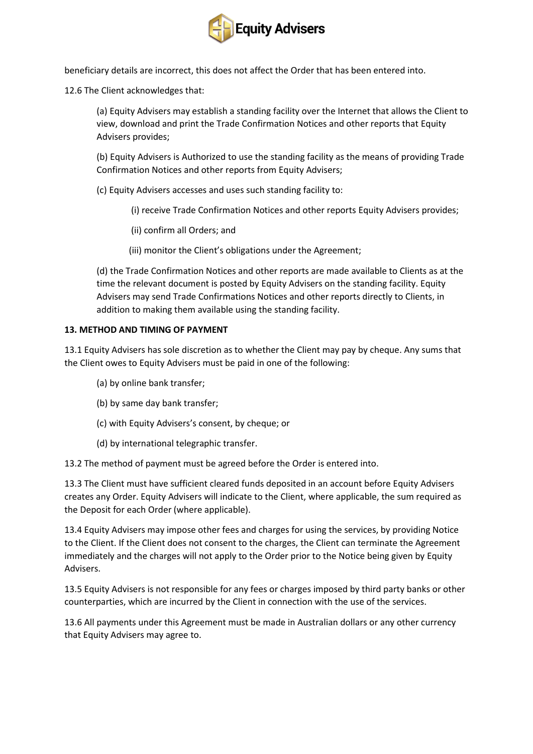

beneficiary details are incorrect, this does not affect the Order that has been entered into.

12.6 The Client acknowledges that:

(a) Equity Advisers may establish a standing facility over the Internet that allows the Client to view, download and print the Trade Confirmation Notices and other reports that Equity Advisers provides;

(b) Equity Advisers is Authorized to use the standing facility as the means of providing Trade Confirmation Notices and other reports from Equity Advisers;

(c) Equity Advisers accesses and uses such standing facility to:

- (i) receive Trade Confirmation Notices and other reports Equity Advisers provides;
- (ii) confirm all Orders; and
- (iii) monitor the Client's obligations under the Agreement;

(d) the Trade Confirmation Notices and other reports are made available to Clients as at the time the relevant document is posted by Equity Advisers on the standing facility. Equity Advisers may send Trade Confirmations Notices and other reports directly to Clients, in addition to making them available using the standing facility.

### **13. METHOD AND TIMING OF PAYMENT**

13.1 Equity Advisers has sole discretion as to whether the Client may pay by cheque. Any sums that the Client owes to Equity Advisers must be paid in one of the following:

- (a) by online bank transfer;
- (b) by same day bank transfer;
- (c) with Equity Advisers's consent, by cheque; or
- (d) by international telegraphic transfer.

13.2 The method of payment must be agreed before the Order is entered into.

13.3 The Client must have sufficient cleared funds deposited in an account before Equity Advisers creates any Order. Equity Advisers will indicate to the Client, where applicable, the sum required as the Deposit for each Order (where applicable).

13.4 Equity Advisers may impose other fees and charges for using the services, by providing Notice to the Client. If the Client does not consent to the charges, the Client can terminate the Agreement immediately and the charges will not apply to the Order prior to the Notice being given by Equity Advisers.

13.5 Equity Advisers is not responsible for any fees or charges imposed by third party banks or other counterparties, which are incurred by the Client in connection with the use of the services.

13.6 All payments under this Agreement must be made in Australian dollars or any other currency that Equity Advisers may agree to.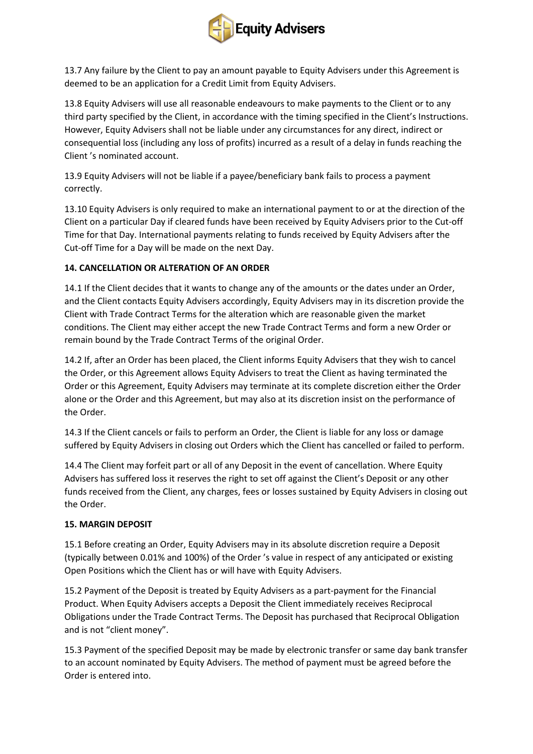

13.7 Any failure by the Client to pay an amount payable to Equity Advisers under this Agreement is deemed to be an application for a Credit Limit from Equity Advisers.

13.8 Equity Advisers will use all reasonable endeavours to make payments to the Client or to any third party specified by the Client, in accordance with the timing specified in the Client's Instructions. However, Equity Advisers shall not be liable under any circumstances for any direct, indirect or consequential loss (including any loss of profits) incurred as a result of a delay in funds reaching the Client 's nominated account.

13.9 Equity Advisers will not be liable if a payee/beneficiary bank fails to process a payment correctly.

13.10 Equity Advisers is only required to make an international payment to or at the direction of the Client on a particular Day if cleared funds have been received by Equity Advisers prior to the Cut-off Time for that Day. International payments relating to funds received by Equity Advisers after the Cut-off Time for a Day will be made on the next Day.

# **14. CANCELLATION OR ALTERATION OF AN ORDER**

14.1 If the Client decides that it wants to change any of the amounts or the dates under an Order, and the Client contacts Equity Advisers accordingly, Equity Advisers may in its discretion provide the Client with Trade Contract Terms for the alteration which are reasonable given the market conditions. The Client may either accept the new Trade Contract Terms and form a new Order or remain bound by the Trade Contract Terms of the original Order.

14.2 If, after an Order has been placed, the Client informs Equity Advisers that they wish to cancel the Order, or this Agreement allows Equity Advisers to treat the Client as having terminated the Order or this Agreement, Equity Advisers may terminate at its complete discretion either the Order alone or the Order and this Agreement, but may also at its discretion insist on the performance of the Order.

14.3 If the Client cancels or fails to perform an Order, the Client is liable for any loss or damage suffered by Equity Advisers in closing out Orders which the Client has cancelled or failed to perform.

14.4 The Client may forfeit part or all of any Deposit in the event of cancellation. Where Equity Advisers has suffered loss it reserves the right to set off against the Client's Deposit or any other funds received from the Client, any charges, fees or losses sustained by Equity Advisers in closing out the Order.

# **15. MARGIN DEPOSIT**

15.1 Before creating an Order, Equity Advisers may in its absolute discretion require a Deposit (typically between 0.01% and 100%) of the Order 's value in respect of any anticipated or existing Open Positions which the Client has or will have with Equity Advisers.

15.2 Payment of the Deposit is treated by Equity Advisers as a part-payment for the Financial Product. When Equity Advisers accepts a Deposit the Client immediately receives Reciprocal Obligations under the Trade Contract Terms. The Deposit has purchased that Reciprocal Obligation and is not "client money".

15.3 Payment of the specified Deposit may be made by electronic transfer or same day bank transfer to an account nominated by Equity Advisers. The method of payment must be agreed before the Order is entered into.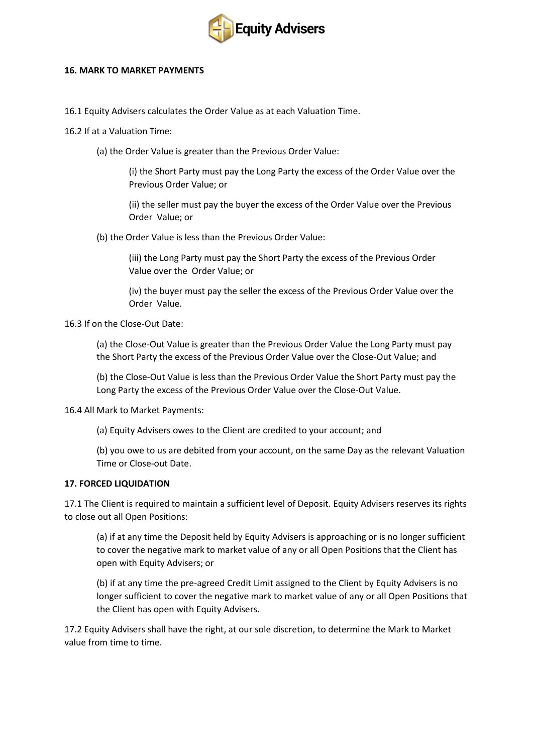

#### **16. MARK TO MARKET PAYMENTS**

- 16.1 Equity Advisers calculates the Order Value as at each Valuation Time.
- 16.2 If at a Valuation Time:
	- (a) the Order Value is greater than the Previous Order Value:

(i) the Short Party must pay the Long Party the excess of the Order Value over the Previous Order Value; or

(ii) the seller must pay the buyer the excess of the Order Value over the Previous Order Value; or

(b) the Order Value is less than the Previous Order Value:

(iii) the Long Party must pay the Short Party the excess of the Previous Order Value over the Order Value; or

(iv) the buyer must pay the seller the excess of the Previous Order Value over the Order Value.

16.3 If on the Close-Out Date:

(a) the Close-Out Value is greater than the Previous Order Value the Long Party must pay the Short Party the excess of the Previous Order Value over the Close-Out Value; and

(b) the Close-Out Value is less than the Previous Order Value the Short Party must pay the Long Party the excess of the Previous Order Value over the Close-Out Value.

### 16.4 All Mark to Market Payments:

(a) Equity Advisers owes to the Client are credited to your account; and

(b) you owe to us are debited from your account, on the same Day as the relevant Valuation Time or Close-out Date.

### **17. FORCED LIQUIDATION**

17.1 The Client is required to maintain a sufficient level of Deposit. Equity Advisers reserves its rights to close out all Open Positions:

(a) if at any time the Deposit held by Equity Advisers is approaching or is no longer sufficient to cover the negative mark to market value of any or all Open Positions that the Client has open with Equity Advisers; or

(b) if at any time the pre-agreed Credit Limit assigned to the Client by Equity Advisers is no longer sufficient to cover the negative mark to market value of any or all Open Positions that the Client has open with Equity Advisers.

17.2 Equity Advisers shall have the right, at our sole discretion, to determine the Mark to Market value from time to time.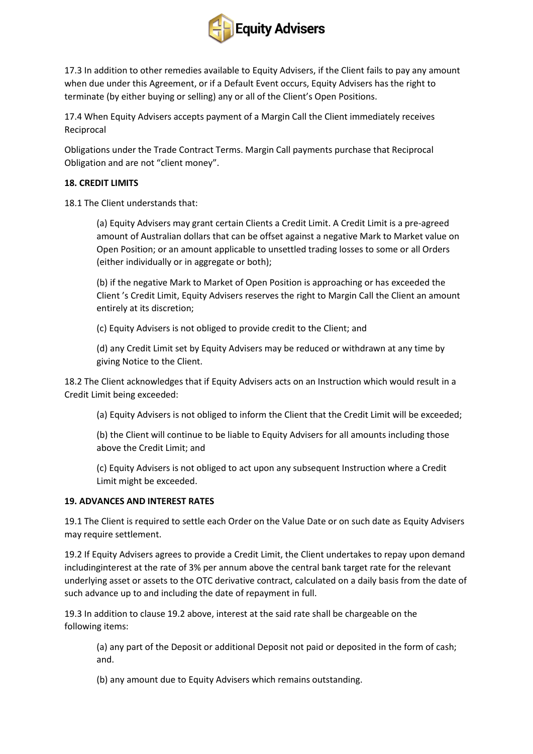

17.3 In addition to other remedies available to Equity Advisers, if the Client fails to pay any amount when due under this Agreement, or if a Default Event occurs, Equity Advisers has the right to terminate (by either buying or selling) any or all of the Client's Open Positions.

17.4 When Equity Advisers accepts payment of a Margin Call the Client immediately receives Reciprocal

Obligations under the Trade Contract Terms. Margin Call payments purchase that Reciprocal Obligation and are not "client money".

### **18. CREDIT LIMITS**

18.1 The Client understands that:

(a) Equity Advisers may grant certain Clients a Credit Limit. A Credit Limit is a pre-agreed amount of Australian dollars that can be offset against a negative Mark to Market value on Open Position; or an amount applicable to unsettled trading losses to some or all Orders (either individually or in aggregate or both);

(b) if the negative Mark to Market of Open Position is approaching or has exceeded the Client 's Credit Limit, Equity Advisers reserves the right to Margin Call the Client an amount entirely at its discretion;

(c) Equity Advisers is not obliged to provide credit to the Client; and

(d) any Credit Limit set by Equity Advisers may be reduced or withdrawn at any time by giving Notice to the Client.

18.2 The Client acknowledges that if Equity Advisers acts on an Instruction which would result in a Credit Limit being exceeded:

(a) Equity Advisers is not obliged to inform the Client that the Credit Limit will be exceeded;

(b) the Client will continue to be liable to Equity Advisers for all amounts including those above the Credit Limit; and

(c) Equity Advisers is not obliged to act upon any subsequent Instruction where a Credit Limit might be exceeded.

### **19. ADVANCES AND INTEREST RATES**

19.1 The Client is required to settle each Order on the Value Date or on such date as Equity Advisers may require settlement.

19.2 If Equity Advisers agrees to provide a Credit Limit, the Client undertakes to repay upon demand includinginterest at the rate of 3% per annum above the central bank target rate for the relevant underlying asset or assets to the OTC derivative contract, calculated on a daily basis from the date of such advance up to and including the date of repayment in full.

19.3 In addition to clause 19.2 above, interest at the said rate shall be chargeable on the following items:

(a) any part of the Deposit or additional Deposit not paid or deposited in the form of cash; and.

(b) any amount due to Equity Advisers which remains outstanding.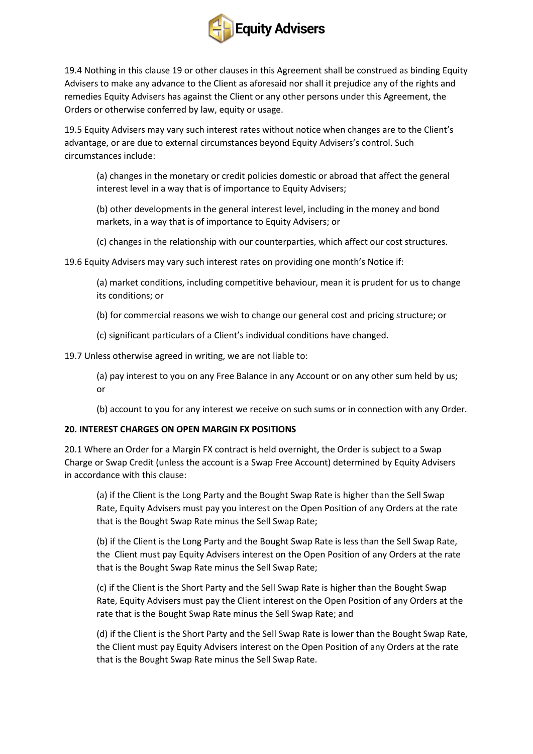

19.4 Nothing in this clause 19 or other clauses in this Agreement shall be construed as binding Equity Advisers to make any advance to the Client as aforesaid nor shall it prejudice any of the rights and remedies Equity Advisers has against the Client or any other persons under this Agreement, the Orders or otherwise conferred by law, equity or usage.

19.5 Equity Advisers may vary such interest rates without notice when changes are to the Client's advantage, or are due to external circumstances beyond Equity Advisers's control. Such circumstances include:

(a) changes in the monetary or credit policies domestic or abroad that affect the general interest level in a way that is of importance to Equity Advisers;

(b) other developments in the general interest level, including in the money and bond markets, in a way that is of importance to Equity Advisers; or

(c) changes in the relationship with our counterparties, which affect our cost structures.

19.6 Equity Advisers may vary such interest rates on providing one month's Notice if:

(a) market conditions, including competitive behaviour, mean it is prudent for us to change its conditions; or

(b) for commercial reasons we wish to change our general cost and pricing structure; or

(c) significant particulars of a Client's individual conditions have changed.

19.7 Unless otherwise agreed in writing, we are not liable to:

(a) pay interest to you on any Free Balance in any Account or on any other sum held by us; or

(b) account to you for any interest we receive on such sums or in connection with any Order.

### **20. INTEREST CHARGES ON OPEN MARGIN FX POSITIONS**

20.1 Where an Order for a Margin FX contract is held overnight, the Order is subject to a Swap Charge or Swap Credit (unless the account is a Swap Free Account) determined by Equity Advisers in accordance with this clause:

(a) if the Client is the Long Party and the Bought Swap Rate is higher than the Sell Swap Rate, Equity Advisers must pay you interest on the Open Position of any Orders at the rate that is the Bought Swap Rate minus the Sell Swap Rate;

(b) if the Client is the Long Party and the Bought Swap Rate is less than the Sell Swap Rate, the Client must pay Equity Advisers interest on the Open Position of any Orders at the rate that is the Bought Swap Rate minus the Sell Swap Rate;

(c) if the Client is the Short Party and the Sell Swap Rate is higher than the Bought Swap Rate, Equity Advisers must pay the Client interest on the Open Position of any Orders at the rate that is the Bought Swap Rate minus the Sell Swap Rate; and

(d) if the Client is the Short Party and the Sell Swap Rate is lower than the Bought Swap Rate, the Client must pay Equity Advisers interest on the Open Position of any Orders at the rate that is the Bought Swap Rate minus the Sell Swap Rate.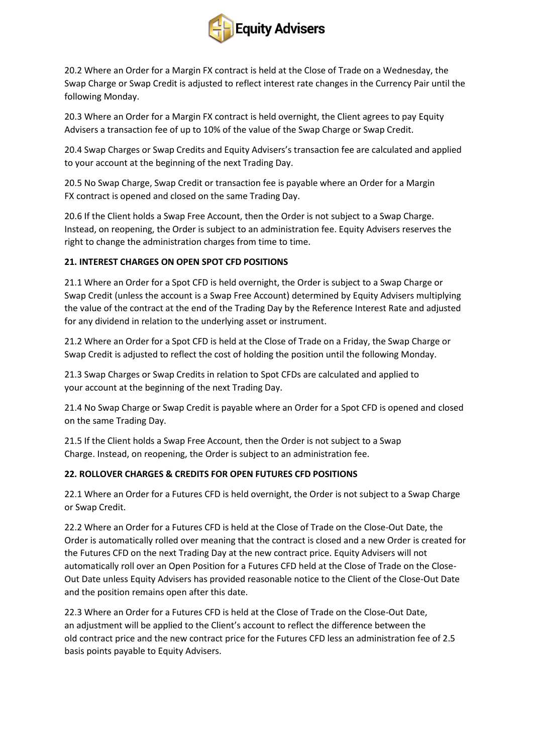

20.2 Where an Order for a Margin FX contract is held at the Close of Trade on a Wednesday, the Swap Charge or Swap Credit is adjusted to reflect interest rate changes in the Currency Pair until the following Monday.

20.3 Where an Order for a Margin FX contract is held overnight, the Client agrees to pay Equity Advisers a transaction fee of up to 10% of the value of the Swap Charge or Swap Credit.

20.4 Swap Charges or Swap Credits and Equity Advisers's transaction fee are calculated and applied to your account at the beginning of the next Trading Day.

20.5 No Swap Charge, Swap Credit or transaction fee is payable where an Order for a Margin FX contract is opened and closed on the same Trading Day.

20.6 If the Client holds a Swap Free Account, then the Order is not subject to a Swap Charge. Instead, on reopening, the Order is subject to an administration fee. Equity Advisers reserves the right to change the administration charges from time to time.

# **21. INTEREST CHARGES ON OPEN SPOT CFD POSITIONS**

21.1 Where an Order for a Spot CFD is held overnight, the Order is subject to a Swap Charge or Swap Credit (unless the account is a Swap Free Account) determined by Equity Advisers multiplying the value of the contract at the end of the Trading Day by the Reference Interest Rate and adjusted for any dividend in relation to the underlying asset or instrument.

21.2 Where an Order for a Spot CFD is held at the Close of Trade on a Friday, the Swap Charge or Swap Credit is adjusted to reflect the cost of holding the position until the following Monday.

21.3 Swap Charges or Swap Credits in relation to Spot CFDs are calculated and applied to your account at the beginning of the next Trading Day.

21.4 No Swap Charge or Swap Credit is payable where an Order for a Spot CFD is opened and closed on the same Trading Day.

21.5 If the Client holds a Swap Free Account, then the Order is not subject to a Swap Charge. Instead, on reopening, the Order is subject to an administration fee.

# **22. ROLLOVER CHARGES & CREDITS FOR OPEN FUTURES CFD POSITIONS**

22.1 Where an Order for a Futures CFD is held overnight, the Order is not subject to a Swap Charge or Swap Credit.

22.2 Where an Order for a Futures CFD is held at the Close of Trade on the Close-Out Date, the Order is automatically rolled over meaning that the contract is closed and a new Order is created for the Futures CFD on the next Trading Day at the new contract price. Equity Advisers will not automatically roll over an Open Position for a Futures CFD held at the Close of Trade on the Close-Out Date unless Equity Advisers has provided reasonable notice to the Client of the Close-Out Date and the position remains open after this date.

22.3 Where an Order for a Futures CFD is held at the Close of Trade on the Close-Out Date, an adjustment will be applied to the Client's account to reflect the difference between the old contract price and the new contract price for the Futures CFD less an administration fee of 2.5 basis points payable to Equity Advisers.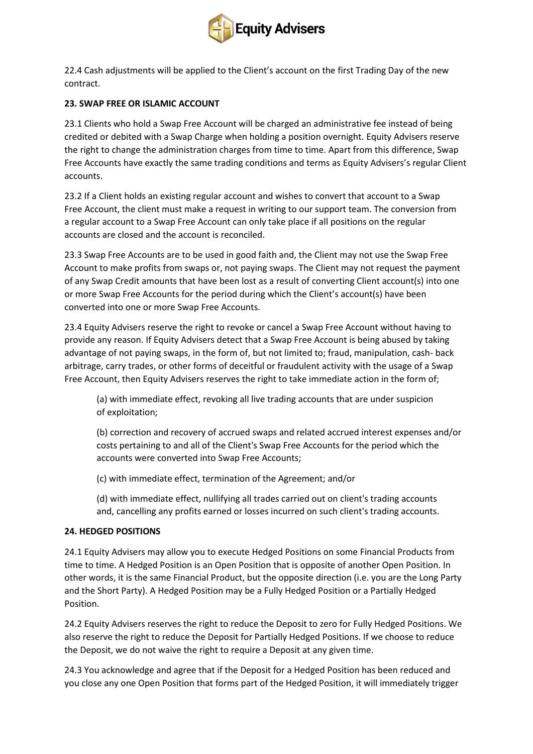

22.4 Cash adjustments will be applied to the Client's account on the first Trading Day of the new contract.

## **23. SWAP FREE OR ISLAMIC ACCOUNT**

23.1 Clients who hold a Swap Free Account will be charged an administrative fee instead of being credited or debited with a Swap Charge when holding a position overnight. Equity Advisers reserve the right to change the administration charges from time to time. Apart from this difference, Swap Free Accounts have exactly the same trading conditions and terms as Equity Advisers's regular Client accounts.

23.2 If a Client holds an existing regular account and wishes to convert that account to a Swap Free Account, the client must make a request in writing to our support team. The conversion from a regular account to a Swap Free Account can only take place if all positions on the regular accounts are closed and the account is reconciled.

23.3 Swap Free Accounts are to be used in good faith and, the Client may not use the Swap Free Account to make profits from swaps or, not paying swaps. The Client may not request the payment of any Swap Credit amounts that have been lost as a result of converting Client account(s) into one or more Swap Free Accounts for the period during which the Client's account(s) have been converted into one or more Swap Free Accounts.

23.4 Equity Advisers reserve the right to revoke or cancel a Swap Free Account without having to provide any reason. If Equity Advisers detect that a Swap Free Account is being abused by taking advantage of not paying swaps, in the form of, but not limited to; fraud, manipulation, cash- back arbitrage, carry trades, or other forms of deceitful or fraudulent activity with the usage of a Swap Free Account, then Equity Advisers reserves the right to take immediate action in the form of;

(a) with immediate effect, revoking all live trading accounts that are under suspicion of exploitation;

(b) correction and recovery of accrued swaps and related accrued interest expenses and/or costs pertaining to and all of the Client's Swap Free Accounts for the period which the accounts were converted into Swap Free Accounts;

(c) with immediate effect, termination of the Agreement; and/or

(d) with immediate effect, nullifying all trades carried out on client's trading accounts and, cancelling any profits earned or losses incurred on such client's trading accounts.

### **24. HEDGED POSITIONS**

24.1 Equity Advisers may allow you to execute Hedged Positions on some Financial Products from time to time. A Hedged Position is an Open Position that is opposite of another Open Position. In other words, it is the same Financial Product, but the opposite direction (i.e. you are the Long Party and the Short Party). A Hedged Position may be a Fully Hedged Position or a Partially Hedged Position.

24.2 Equity Advisers reserves the right to reduce the Deposit to zero for Fully Hedged Positions. We also reserve the right to reduce the Deposit for Partially Hedged Positions. If we choose to reduce the Deposit, we do not waive the right to require a Deposit at any given time.

24.3 You acknowledge and agree that if the Deposit for a Hedged Position has been reduced and you close any one Open Position that forms part of the Hedged Position, it will immediately trigger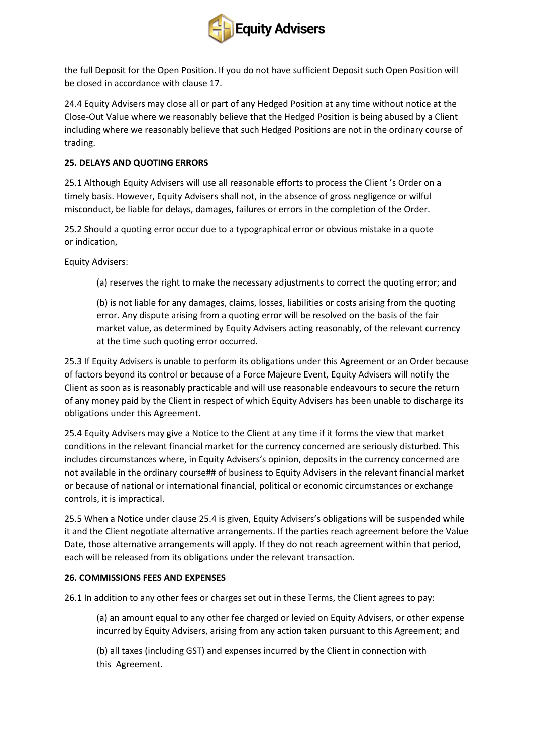

the full Deposit for the Open Position. If you do not have sufficient Deposit such Open Position will be closed in accordance with clause 17.

24.4 Equity Advisers may close all or part of any Hedged Position at any time without notice at the Close-Out Value where we reasonably believe that the Hedged Position is being abused by a Client including where we reasonably believe that such Hedged Positions are not in the ordinary course of trading.

### **25. DELAYS AND QUOTING ERRORS**

25.1 Although Equity Advisers will use all reasonable efforts to process the Client 's Order on a timely basis. However, Equity Advisers shall not, in the absence of gross negligence or wilful misconduct, be liable for delays, damages, failures or errors in the completion of the Order.

25.2 Should a quoting error occur due to a typographical error or obvious mistake in a quote or indication,

Equity Advisers:

(a) reserves the right to make the necessary adjustments to correct the quoting error; and

(b) is not liable for any damages, claims, losses, liabilities or costs arising from the quoting error. Any dispute arising from a quoting error will be resolved on the basis of the fair market value, as determined by Equity Advisers acting reasonably, of the relevant currency at the time such quoting error occurred.

25.3 If Equity Advisers is unable to perform its obligations under this Agreement or an Order because of factors beyond its control or because of a Force Majeure Event, Equity Advisers will notify the Client as soon as is reasonably practicable and will use reasonable endeavours to secure the return of any money paid by the Client in respect of which Equity Advisers has been unable to discharge its obligations under this Agreement.

25.4 Equity Advisers may give a Notice to the Client at any time if it forms the view that market conditions in the relevant financial market for the currency concerned are seriously disturbed. This includes circumstances where, in Equity Advisers's opinion, deposits in the currency concerned are not available in the ordinary course## of business to Equity Advisers in the relevant financial market or because of national or international financial, political or economic circumstances or exchange controls, it is impractical.

25.5 When a Notice under clause 25.4 is given, Equity Advisers's obligations will be suspended while it and the Client negotiate alternative arrangements. If the parties reach agreement before the Value Date, those alternative arrangements will apply. If they do not reach agreement within that period, each will be released from its obligations under the relevant transaction.

### **26. COMMISSIONS FEES AND EXPENSES**

26.1 In addition to any other fees or charges set out in these Terms, the Client agrees to pay:

(a) an amount equal to any other fee charged or levied on Equity Advisers, or other expense incurred by Equity Advisers, arising from any action taken pursuant to this Agreement; and

(b) all taxes (including GST) and expenses incurred by the Client in connection with this Agreement.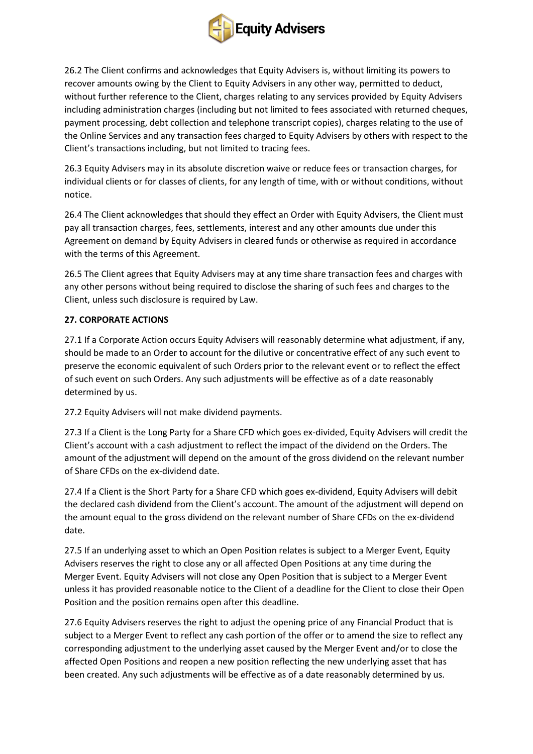

26.2 The Client confirms and acknowledges that Equity Advisers is, without limiting its powers to recover amounts owing by the Client to Equity Advisers in any other way, permitted to deduct, without further reference to the Client, charges relating to any services provided by Equity Advisers including administration charges (including but not limited to fees associated with returned cheques, payment processing, debt collection and telephone transcript copies), charges relating to the use of the Online Services and any transaction fees charged to Equity Advisers by others with respect to the Client's transactions including, but not limited to tracing fees.

26.3 Equity Advisers may in its absolute discretion waive or reduce fees or transaction charges, for individual clients or for classes of clients, for any length of time, with or without conditions, without notice.

26.4 The Client acknowledges that should they effect an Order with Equity Advisers, the Client must pay all transaction charges, fees, settlements, interest and any other amounts due under this Agreement on demand by Equity Advisers in cleared funds or otherwise as required in accordance with the terms of this Agreement.

26.5 The Client agrees that Equity Advisers may at any time share transaction fees and charges with any other persons without being required to disclose the sharing of such fees and charges to the Client, unless such disclosure is required by Law.

# **27. CORPORATE ACTIONS**

27.1 If a Corporate Action occurs Equity Advisers will reasonably determine what adjustment, if any, should be made to an Order to account for the dilutive or concentrative effect of any such event to preserve the economic equivalent of such Orders prior to the relevant event or to reflect the effect of such event on such Orders. Any such adjustments will be effective as of a date reasonably determined by us.

27.2 Equity Advisers will not make dividend payments.

27.3 If a Client is the Long Party for a Share CFD which goes ex-divided, Equity Advisers will credit the Client's account with a cash adjustment to reflect the impact of the dividend on the Orders. The amount of the adjustment will depend on the amount of the gross dividend on the relevant number of Share CFDs on the ex-dividend date.

27.4 If a Client is the Short Party for a Share CFD which goes ex-dividend, Equity Advisers will debit the declared cash dividend from the Client's account. The amount of the adjustment will depend on the amount equal to the gross dividend on the relevant number of Share CFDs on the ex-dividend date.

27.5 If an underlying asset to which an Open Position relates is subject to a Merger Event, Equity Advisers reserves the right to close any or all affected Open Positions at any time during the Merger Event. Equity Advisers will not close any Open Position that is subject to a Merger Event unless it has provided reasonable notice to the Client of a deadline for the Client to close their Open Position and the position remains open after this deadline.

27.6 Equity Advisers reserves the right to adjust the opening price of any Financial Product that is subject to a Merger Event to reflect any cash portion of the offer or to amend the size to reflect any corresponding adjustment to the underlying asset caused by the Merger Event and/or to close the affected Open Positions and reopen a new position reflecting the new underlying asset that has been created. Any such adjustments will be effective as of a date reasonably determined by us.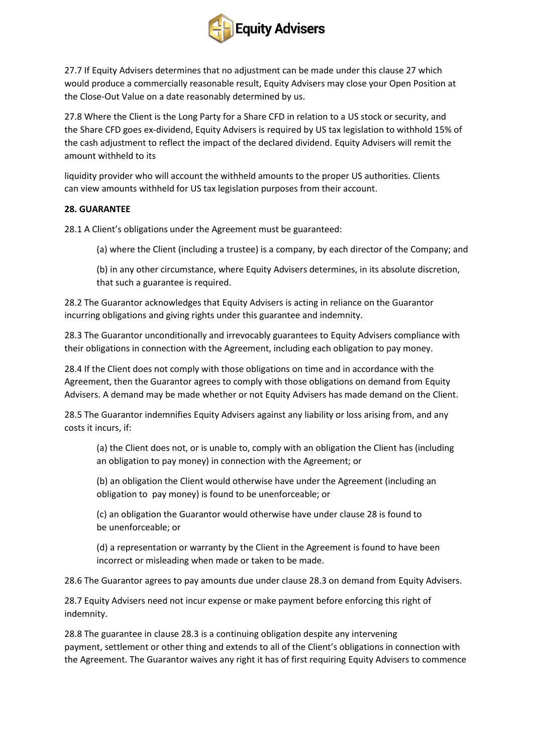

27.7 If Equity Advisers determines that no adjustment can be made under this clause 27 which would produce a commercially reasonable result, Equity Advisers may close your Open Position at the Close-Out Value on a date reasonably determined by us.

27.8 Where the Client is the Long Party for a Share CFD in relation to a US stock or security, and the Share CFD goes ex-dividend, Equity Advisers is required by US tax legislation to withhold 15% of the cash adjustment to reflect the impact of the declared dividend. Equity Advisers will remit the amount withheld to its

liquidity provider who will account the withheld amounts to the proper US authorities. Clients can view amounts withheld for US tax legislation purposes from their account.

### **28. GUARANTEE**

28.1 A Client's obligations under the Agreement must be guaranteed:

(a) where the Client (including a trustee) is a company, by each director of the Company; and

(b) in any other circumstance, where Equity Advisers determines, in its absolute discretion, that such a guarantee is required.

28.2 The Guarantor acknowledges that Equity Advisers is acting in reliance on the Guarantor incurring obligations and giving rights under this guarantee and indemnity.

28.3 The Guarantor unconditionally and irrevocably guarantees to Equity Advisers compliance with their obligations in connection with the Agreement, including each obligation to pay money.

28.4 If the Client does not comply with those obligations on time and in accordance with the Agreement, then the Guarantor agrees to comply with those obligations on demand from Equity Advisers. A demand may be made whether or not Equity Advisers has made demand on the Client.

28.5 The Guarantor indemnifies Equity Advisers against any liability or loss arising from, and any costs it incurs, if:

(a) the Client does not, or is unable to, comply with an obligation the Client has (including an obligation to pay money) in connection with the Agreement; or

(b) an obligation the Client would otherwise have under the Agreement (including an obligation to pay money) is found to be unenforceable; or

(c) an obligation the Guarantor would otherwise have under clause 28 is found to be unenforceable; or

(d) a representation or warranty by the Client in the Agreement is found to have been incorrect or misleading when made or taken to be made.

28.6 The Guarantor agrees to pay amounts due under clause 28.3 on demand from Equity Advisers.

28.7 Equity Advisers need not incur expense or make payment before enforcing this right of indemnity.

28.8 The guarantee in clause 28.3 is a continuing obligation despite any intervening payment, settlement or other thing and extends to all of the Client's obligations in connection with the Agreement. The Guarantor waives any right it has of first requiring Equity Advisers to commence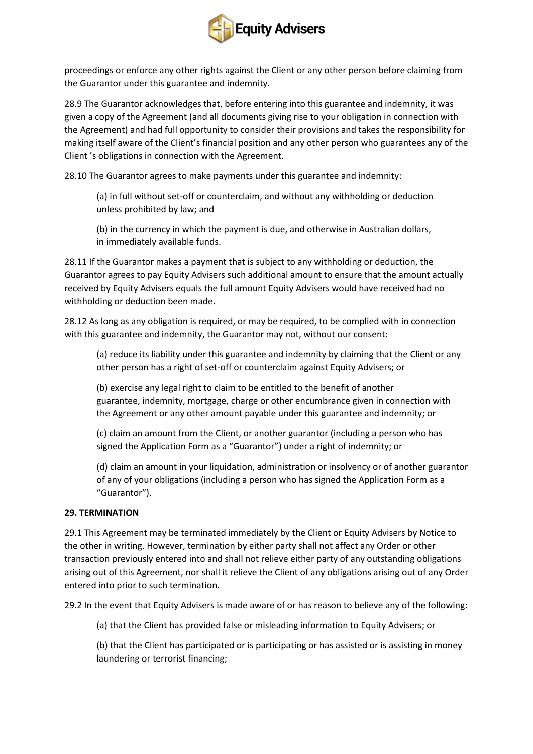

proceedings or enforce any other rights against the Client or any other person before claiming from the Guarantor under this guarantee and indemnity.

28.9 The Guarantor acknowledges that, before entering into this guarantee and indemnity, it was given a copy of the Agreement (and all documents giving rise to your obligation in connection with the Agreement) and had full opportunity to consider their provisions and takes the responsibility for making itself aware of the Client's financial position and any other person who guarantees any of the Client 's obligations in connection with the Agreement.

28.10 The Guarantor agrees to make payments under this guarantee and indemnity:

(a) in full without set-off or counterclaim, and without any withholding or deduction unless prohibited by law; and

(b) in the currency in which the payment is due, and otherwise in Australian dollars, in immediately available funds.

28.11 If the Guarantor makes a payment that is subject to any withholding or deduction, the Guarantor agrees to pay Equity Advisers such additional amount to ensure that the amount actually received by Equity Advisers equals the full amount Equity Advisers would have received had no withholding or deduction been made.

28.12 As long as any obligation is required, or may be required, to be complied with in connection with this guarantee and indemnity, the Guarantor may not, without our consent:

(a) reduce its liability under this guarantee and indemnity by claiming that the Client or any other person has a right of set-off or counterclaim against Equity Advisers; or

(b) exercise any legal right to claim to be entitled to the benefit of another guarantee, indemnity, mortgage, charge or other encumbrance given in connection with the Agreement or any other amount payable under this guarantee and indemnity; or

(c) claim an amount from the Client, or another guarantor (including a person who has signed the Application Form as a "Guarantor") under a right of indemnity; or

(d) claim an amount in your liquidation, administration or insolvency or of another guarantor of any of your obligations (including a person who has signed the Application Form as a "Guarantor").

### **29. TERMINATION**

29.1 This Agreement may be terminated immediately by the Client or Equity Advisers by Notice to the other in writing. However, termination by either party shall not affect any Order or other transaction previously entered into and shall not relieve either party of any outstanding obligations arising out of this Agreement, nor shall it relieve the Client of any obligations arising out of any Order entered into prior to such termination.

29.2 In the event that Equity Advisers is made aware of or has reason to believe any of the following:

(a) that the Client has provided false or misleading information to Equity Advisers; or

(b) that the Client has participated or is participating or has assisted or is assisting in money laundering or terrorist financing;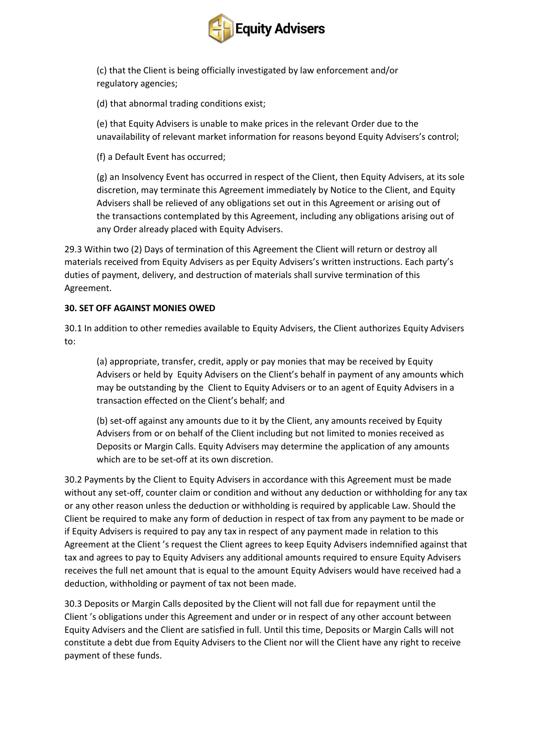

(c) that the Client is being officially investigated by law enforcement and/or regulatory agencies;

(d) that abnormal trading conditions exist;

(e) that Equity Advisers is unable to make prices in the relevant Order due to the unavailability of relevant market information for reasons beyond Equity Advisers's control;

(f) a Default Event has occurred;

(g) an Insolvency Event has occurred in respect of the Client, then Equity Advisers, at its sole discretion, may terminate this Agreement immediately by Notice to the Client, and Equity Advisers shall be relieved of any obligations set out in this Agreement or arising out of the transactions contemplated by this Agreement, including any obligations arising out of any Order already placed with Equity Advisers.

29.3 Within two (2) Days of termination of this Agreement the Client will return or destroy all materials received from Equity Advisers as per Equity Advisers's written instructions. Each party's duties of payment, delivery, and destruction of materials shall survive termination of this Agreement.

# **30. SET OFF AGAINST MONIES OWED**

30.1 In addition to other remedies available to Equity Advisers, the Client authorizes Equity Advisers to:

(a) appropriate, transfer, credit, apply or pay monies that may be received by Equity Advisers or held by Equity Advisers on the Client's behalf in payment of any amounts which may be outstanding by the Client to Equity Advisers or to an agent of Equity Advisers in a transaction effected on the Client's behalf; and

(b) set-off against any amounts due to it by the Client, any amounts received by Equity Advisers from or on behalf of the Client including but not limited to monies received as Deposits or Margin Calls. Equity Advisers may determine the application of any amounts which are to be set-off at its own discretion.

30.2 Payments by the Client to Equity Advisers in accordance with this Agreement must be made without any set-off, counter claim or condition and without any deduction or withholding for any tax or any other reason unless the deduction or withholding is required by applicable Law. Should the Client be required to make any form of deduction in respect of tax from any payment to be made or if Equity Advisers is required to pay any tax in respect of any payment made in relation to this Agreement at the Client 's request the Client agrees to keep Equity Advisers indemnified against that tax and agrees to pay to Equity Advisers any additional amounts required to ensure Equity Advisers receives the full net amount that is equal to the amount Equity Advisers would have received had a deduction, withholding or payment of tax not been made.

30.3 Deposits or Margin Calls deposited by the Client will not fall due for repayment until the Client 's obligations under this Agreement and under or in respect of any other account between Equity Advisers and the Client are satisfied in full. Until this time, Deposits or Margin Calls will not constitute a debt due from Equity Advisers to the Client nor will the Client have any right to receive payment of these funds.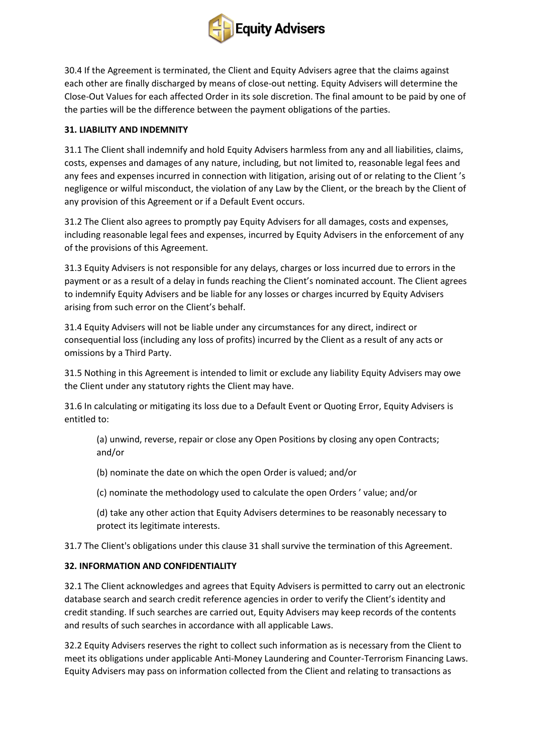

30.4 If the Agreement is terminated, the Client and Equity Advisers agree that the claims against each other are finally discharged by means of close-out netting. Equity Advisers will determine the Close-Out Values for each affected Order in its sole discretion. The final amount to be paid by one of the parties will be the difference between the payment obligations of the parties.

## **31. LIABILITY AND INDEMNITY**

31.1 The Client shall indemnify and hold Equity Advisers harmless from any and all liabilities, claims, costs, expenses and damages of any nature, including, but not limited to, reasonable legal fees and any fees and expenses incurred in connection with litigation, arising out of or relating to the Client's negligence or wilful misconduct, the violation of any Law by the Client, or the breach by the Client of any provision of this Agreement or if a Default Event occurs.

31.2 The Client also agrees to promptly pay Equity Advisers for all damages, costs and expenses, including reasonable legal fees and expenses, incurred by Equity Advisers in the enforcement of any of the provisions of this Agreement.

31.3 Equity Advisers is not responsible for any delays, charges or loss incurred due to errors in the payment or as a result of a delay in funds reaching the Client's nominated account. The Client agrees to indemnify Equity Advisers and be liable for any losses or charges incurred by Equity Advisers arising from such error on the Client's behalf.

31.4 Equity Advisers will not be liable under any circumstances for any direct, indirect or consequential loss (including any loss of profits) incurred by the Client as a result of any acts or omissions by a Third Party.

31.5 Nothing in this Agreement is intended to limit or exclude any liability Equity Advisers may owe the Client under any statutory rights the Client may have.

31.6 In calculating or mitigating its loss due to a Default Event or Quoting Error, Equity Advisers is entitled to:

(a) unwind, reverse, repair or close any Open Positions by closing any open Contracts; and/or

- (b) nominate the date on which the open Order is valued; and/or
- (c) nominate the methodology used to calculate the open Orders ' value; and/or
- (d) take any other action that Equity Advisers determines to be reasonably necessary to protect its legitimate interests.

31.7 The Client's obligations under this clause 31 shall survive the termination of this Agreement.

# **32. INFORMATION AND CONFIDENTIALITY**

32.1 The Client acknowledges and agrees that Equity Advisers is permitted to carry out an electronic database search and search credit reference agencies in order to verify the Client's identity and credit standing. If such searches are carried out, Equity Advisers may keep records of the contents and results of such searches in accordance with all applicable Laws.

32.2 Equity Advisers reserves the right to collect such information as is necessary from the Client to meet its obligations under applicable Anti-Money Laundering and Counter-Terrorism Financing Laws. Equity Advisers may pass on information collected from the Client and relating to transactions as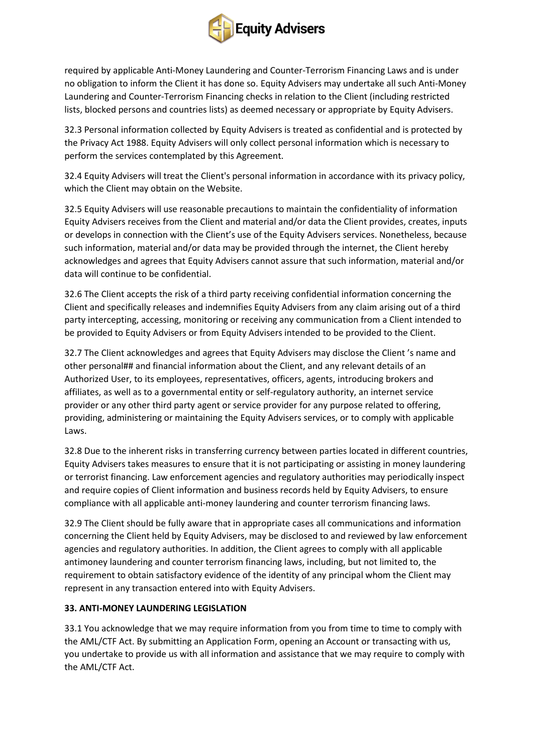

required by applicable Anti-Money Laundering and Counter-Terrorism Financing Laws and is under no obligation to inform the Client it has done so. Equity Advisers may undertake all such Anti-Money Laundering and Counter-Terrorism Financing checks in relation to the Client (including restricted lists, blocked persons and countries lists) as deemed necessary or appropriate by Equity Advisers.

32.3 Personal information collected by Equity Advisers is treated as confidential and is protected by the Privacy Act 1988. Equity Advisers will only collect personal information which is necessary to perform the services contemplated by this Agreement.

32.4 Equity Advisers will treat the Client's personal information in accordance with its privacy policy, which the Client may obtain on the Website.

32.5 Equity Advisers will use reasonable precautions to maintain the confidentiality of information Equity Advisers receives from the Client and material and/or data the Client provides, creates, inputs or develops in connection with the Client's use of the Equity Advisers services. Nonetheless, because such information, material and/or data may be provided through the internet, the Client hereby acknowledges and agrees that Equity Advisers cannot assure that such information, material and/or data will continue to be confidential.

32.6 The Client accepts the risk of a third party receiving confidential information concerning the Client and specifically releases and indemnifies Equity Advisers from any claim arising out of a third party intercepting, accessing, monitoring or receiving any communication from a Client intended to be provided to Equity Advisers or from Equity Advisers intended to be provided to the Client.

32.7 The Client acknowledges and agrees that Equity Advisers may disclose the Client 's name and other personal## and financial information about the Client, and any relevant details of an Authorized User, to its employees, representatives, officers, agents, introducing brokers and affiliates, as well as to a governmental entity or self-regulatory authority, an internet service provider or any other third party agent or service provider for any purpose related to offering, providing, administering or maintaining the Equity Advisers services, or to comply with applicable Laws.

32.8 Due to the inherent risks in transferring currency between parties located in different countries, Equity Advisers takes measures to ensure that it is not participating or assisting in money laundering or terrorist financing. Law enforcement agencies and regulatory authorities may periodically inspect and require copies of Client information and business records held by Equity Advisers, to ensure compliance with all applicable anti-money laundering and counter terrorism financing laws.

32.9 The Client should be fully aware that in appropriate cases all communications and information concerning the Client held by Equity Advisers, may be disclosed to and reviewed by law enforcement agencies and regulatory authorities. In addition, the Client agrees to comply with all applicable antimoney laundering and counter terrorism financing laws, including, but not limited to, the requirement to obtain satisfactory evidence of the identity of any principal whom the Client may represent in any transaction entered into with Equity Advisers.

### **33. ANTI-MONEY LAUNDERING LEGISLATION**

33.1 You acknowledge that we may require information from you from time to time to comply with the AML/CTF Act. By submitting an Application Form, opening an Account or transacting with us, you undertake to provide us with all information and assistance that we may require to comply with the AML/CTF Act.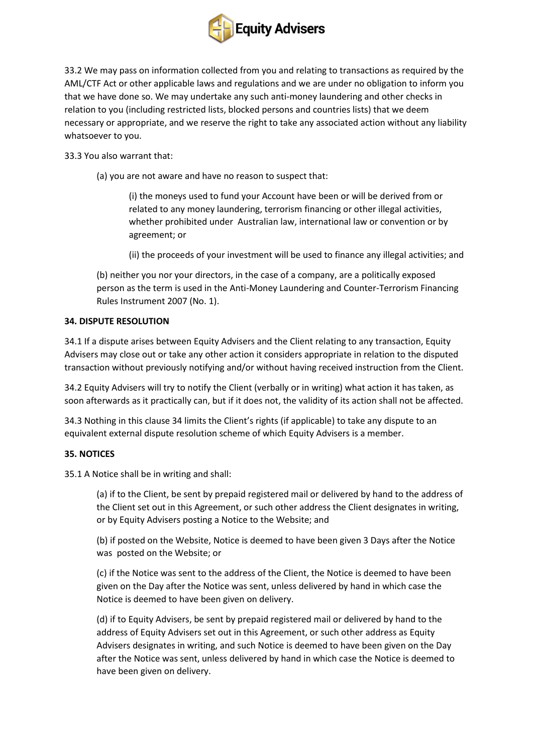

33.2 We may pass on information collected from you and relating to transactions as required by the AML/CTF Act or other applicable laws and regulations and we are under no obligation to inform you that we have done so. We may undertake any such anti-money laundering and other checks in relation to you (including restricted lists, blocked persons and countries lists) that we deem necessary or appropriate, and we reserve the right to take any associated action without any liability whatsoever to you.

33.3 You also warrant that:

(a) you are not aware and have no reason to suspect that:

(i) the moneys used to fund your Account have been or will be derived from or related to any money laundering, terrorism financing or other illegal activities, whether prohibited under Australian law, international law or convention or by agreement; or

(ii) the proceeds of your investment will be used to finance any illegal activities; and

(b) neither you nor your directors, in the case of a company, are a politically exposed person as the term is used in the Anti-Money Laundering and Counter-Terrorism Financing Rules Instrument 2007 (No. 1).

### **34. DISPUTE RESOLUTION**

34.1 If a dispute arises between Equity Advisers and the Client relating to any transaction, Equity Advisers may close out or take any other action it considers appropriate in relation to the disputed transaction without previously notifying and/or without having received instruction from the Client.

34.2 Equity Advisers will try to notify the Client (verbally or in writing) what action it has taken, as soon afterwards as it practically can, but if it does not, the validity of its action shall not be affected.

34.3 Nothing in this clause 34 limits the Client's rights (if applicable) to take any dispute to an equivalent external dispute resolution scheme of which Equity Advisers is a member.

### **35. NOTICES**

35.1 A Notice shall be in writing and shall:

(a) if to the Client, be sent by prepaid registered mail or delivered by hand to the address of the Client set out in this Agreement, or such other address the Client designates in writing, or by Equity Advisers posting a Notice to the Website; and

(b) if posted on the Website, Notice is deemed to have been given 3 Days after the Notice was posted on the Website; or

(c) if the Notice was sent to the address of the Client, the Notice is deemed to have been given on the Day after the Notice was sent, unless delivered by hand in which case the Notice is deemed to have been given on delivery.

(d) if to Equity Advisers, be sent by prepaid registered mail or delivered by hand to the address of Equity Advisers set out in this Agreement, or such other address as Equity Advisers designates in writing, and such Notice is deemed to have been given on the Day after the Notice was sent, unless delivered by hand in which case the Notice is deemed to have been given on delivery.